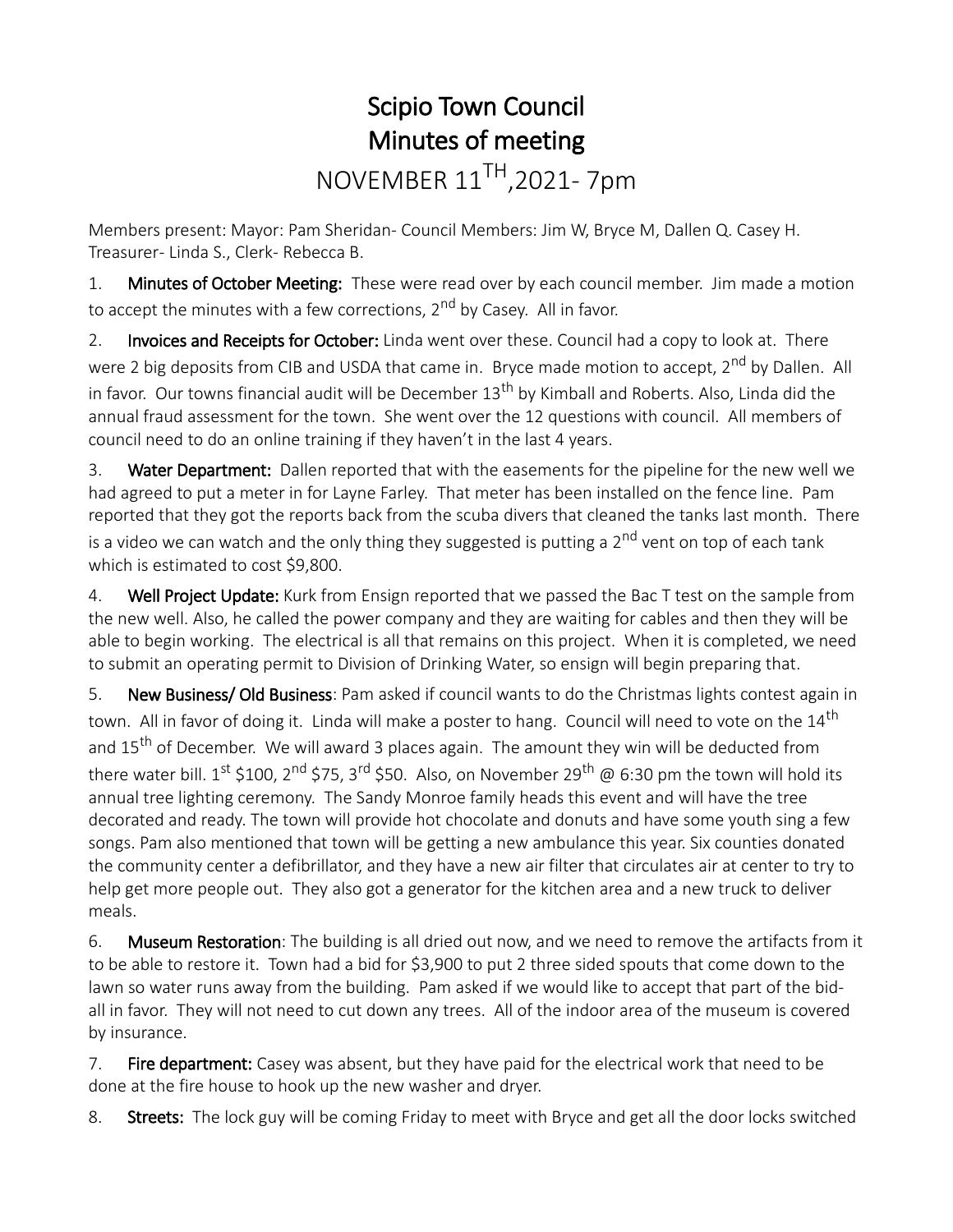## Scipio Town Council Minutes of meeting NOVEMBER 11TH,2021- 7pm

Members present: Mayor: Pam Sheridan- Council Members: Jim W, Bryce M, Dallen Q. Casey H. Treasurer- Linda S., Clerk- Rebecca B.

1. Minutes of October Meeting: These were read over by each council member. Jim made a motion to accept the minutes with a few corrections, 2<sup>nd</sup> by Casey. All in favor.

2. Invoices and Receipts for October: Linda went over these. Council had a copy to look at. There were 2 big deposits from CIB and USDA that came in. Bryce made motion to accept, 2<sup>nd</sup> by Dallen. All in favor. Our towns financial audit will be December 13<sup>th</sup> by Kimball and Roberts. Also, Linda did the annual fraud assessment for the town. She went over the 12 questions with council. All members of council need to do an online training if they haven't in the last 4 years.

3. Water Department: Dallen reported that with the easements for the pipeline for the new well we had agreed to put a meter in for Layne Farley. That meter has been installed on the fence line. Pam reported that they got the reports back from the scuba divers that cleaned the tanks last month. There is a video we can watch and the only thing they suggested is putting a 2<sup>nd</sup> vent on top of each tank which is estimated to cost \$9,800.

4. Well Project Update: Kurk from Ensign reported that we passed the Bac T test on the sample from the new well. Also, he called the power company and they are waiting for cables and then they will be able to begin working. The electrical is all that remains on this project. When it is completed, we need to submit an operating permit to Division of Drinking Water, so ensign will begin preparing that.

5. New Business/ Old Business: Pam asked if council wants to do the Christmas lights contest again in town. All in favor of doing it. Linda will make a poster to hang. Council will need to vote on the 14<sup>th</sup> and 15<sup>th</sup> of December. We will award 3 places again. The amount they win will be deducted from there water bill.  $1^{\text{st}}$  \$100, 2<sup>nd</sup> \$75, 3<sup>rd</sup> \$50. Also, on November 29<sup>th</sup> @ 6:30 pm the town will hold its annual tree lighting ceremony. The Sandy Monroe family heads this event and will have the tree decorated and ready. The town will provide hot chocolate and donuts and have some youth sing a few songs. Pam also mentioned that town will be getting a new ambulance this year. Six counties donated the community center a defibrillator, and they have a new air filter that circulates air at center to try to help get more people out. They also got a generator for the kitchen area and a new truck to deliver meals.

6. Museum Restoration: The building is all dried out now, and we need to remove the artifacts from it to be able to restore it. Town had a bid for \$3,900 to put 2 three sided spouts that come down to the lawn so water runs away from the building. Pam asked if we would like to accept that part of the bidall in favor. They will not need to cut down any trees. All of the indoor area of the museum is covered by insurance.

7. Fire department: Casey was absent, but they have paid for the electrical work that need to be done at the fire house to hook up the new washer and dryer.

8. Streets: The lock guy will be coming Friday to meet with Bryce and get all the door locks switched